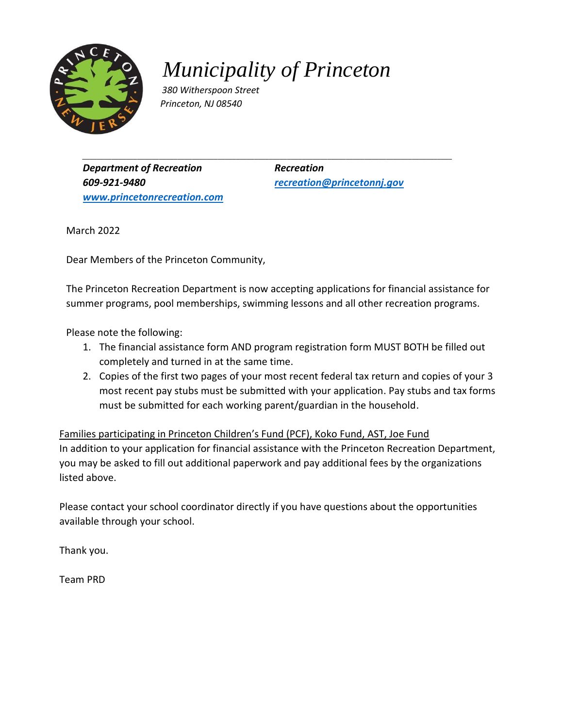

*Municipality of Princeton*

*\_\_\_\_\_\_\_\_\_\_\_\_\_\_\_\_\_\_\_\_\_\_\_\_\_\_\_\_\_\_\_\_\_\_\_\_\_\_\_\_\_\_\_\_\_\_\_\_\_\_\_\_\_\_\_\_\_\_\_\_\_\_\_\_\_\_\_\_\_\_\_\_\_\_\_\_\_\_\_\_\_\_\_\_\_\_\_\_\_\_\_\_\_\_\_\_\_\_\_\_\_*

*380 Witherspoon Street Princeton, NJ 08540* 

**Department of Recreation** Recreation *609-921-9480 [recreation@princetonnj.gov](mailto:recreation@princetonnj.gov) [www.princetonrecreation.com](http://www.princetonrecreation.com/)*

March 2022

Dear Members of the Princeton Community,

The Princeton Recreation Department is now accepting applications for financial assistance for summer programs, pool memberships, swimming lessons and all other recreation programs.

Please note the following:

- 1. The financial assistance form AND program registration form MUST BOTH be filled out completely and turned in at the same time.
- 2. Copies of the first two pages of your most recent federal tax return and copies of your 3 most recent pay stubs must be submitted with your application. Pay stubs and tax forms must be submitted for each working parent/guardian in the household.

Families participating in Princeton Children's Fund (PCF), Koko Fund, AST, Joe Fund In addition to your application for financial assistance with the Princeton Recreation Department, you may be asked to fill out additional paperwork and pay additional fees by the organizations listed above.

Please contact your school coordinator directly if you have questions about the opportunities available through your school.

Thank you.

Team PRD